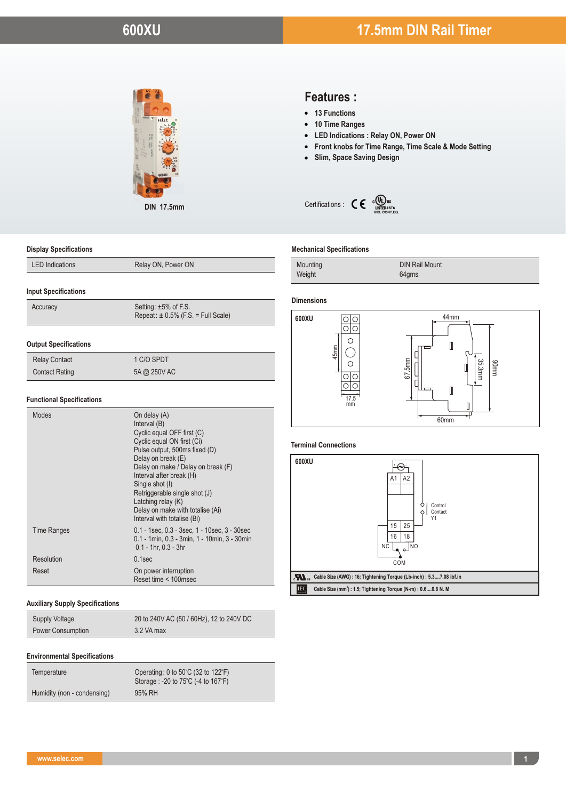

**DIN 17.5mm**

# **Features :**

- **13 Functions**
- **10 Time Ranges**
- **LED Indications : Relay ON, Power ON**
- **From Himme Ranges<br>• 10 Time Ranges<br>• LED Indications : Relay ON, Power ON<br>• Front knobs for Time Range, Time Scale & Mode Setting<br>• Slim, Space Saving Design**
- 



#### **Mechanical Specifications**

| Mounting | <b>DIN Rail Mount</b> |
|----------|-----------------------|
| Weight   | 64gms                 |

#### **Dimensions**



#### **Terminal Connections**



#### **Display Specifications**

# **Input Specifications**

| Repeat: $\pm$ 0.5% (F.S. = Full Scale) |
|----------------------------------------|
|                                        |

### **Output Specifications**

| <b>Relay Contact</b>  | 1 C/O SPDT   |
|-----------------------|--------------|
| <b>Contact Rating</b> | 5A @ 250V AC |

### **Functional Specifications**

| Modes       | On delay (A)<br>Interval (B)<br>Cyclic equal OFF first (C)<br>Cyclic equal ON first (Ci)<br>Pulse output, 500ms fixed (D)<br>Delay on break (E)<br>Delay on make / Delay on break (F)<br>Interval after break (H)<br>Single shot (I)<br>Retriggerable single shot (J)<br>Latching relay (K)<br>Delay on make with totalise (Ai)<br>Interval with totalise (Bi) |
|-------------|----------------------------------------------------------------------------------------------------------------------------------------------------------------------------------------------------------------------------------------------------------------------------------------------------------------------------------------------------------------|
| Time Ranges | $0.1$ - 1sec, $0.3$ - 3sec, $1$ - 10sec, $3$ - 30sec<br>0.1 - 1min, 0.3 - 3min, 1 - 10min, 3 - 30min<br>$0.1 - 1$ hr, $0.3 - 3$ hr                                                                                                                                                                                                                             |
| Resolution  | $0.1$ sec                                                                                                                                                                                                                                                                                                                                                      |
| Reset       | On power interruption<br>Reset time < 100msec                                                                                                                                                                                                                                                                                                                  |

#### **Auxiliary Supply Specifications**

| <b>Supply Voltage</b>    | 20 to 240V AC (50 / 60Hz), 12 to 240V DC |
|--------------------------|------------------------------------------|
| <b>Power Consumption</b> | 3.2 VA max                               |

#### **Environmental Specifications**

| Temperature                 | Operating: 0 to 50°C (32 to 122°F)<br>Storage: -20 to 75°C (-4 to 167°F) |
|-----------------------------|--------------------------------------------------------------------------|
| Humidity (non - condensing) | 95% RH                                                                   |